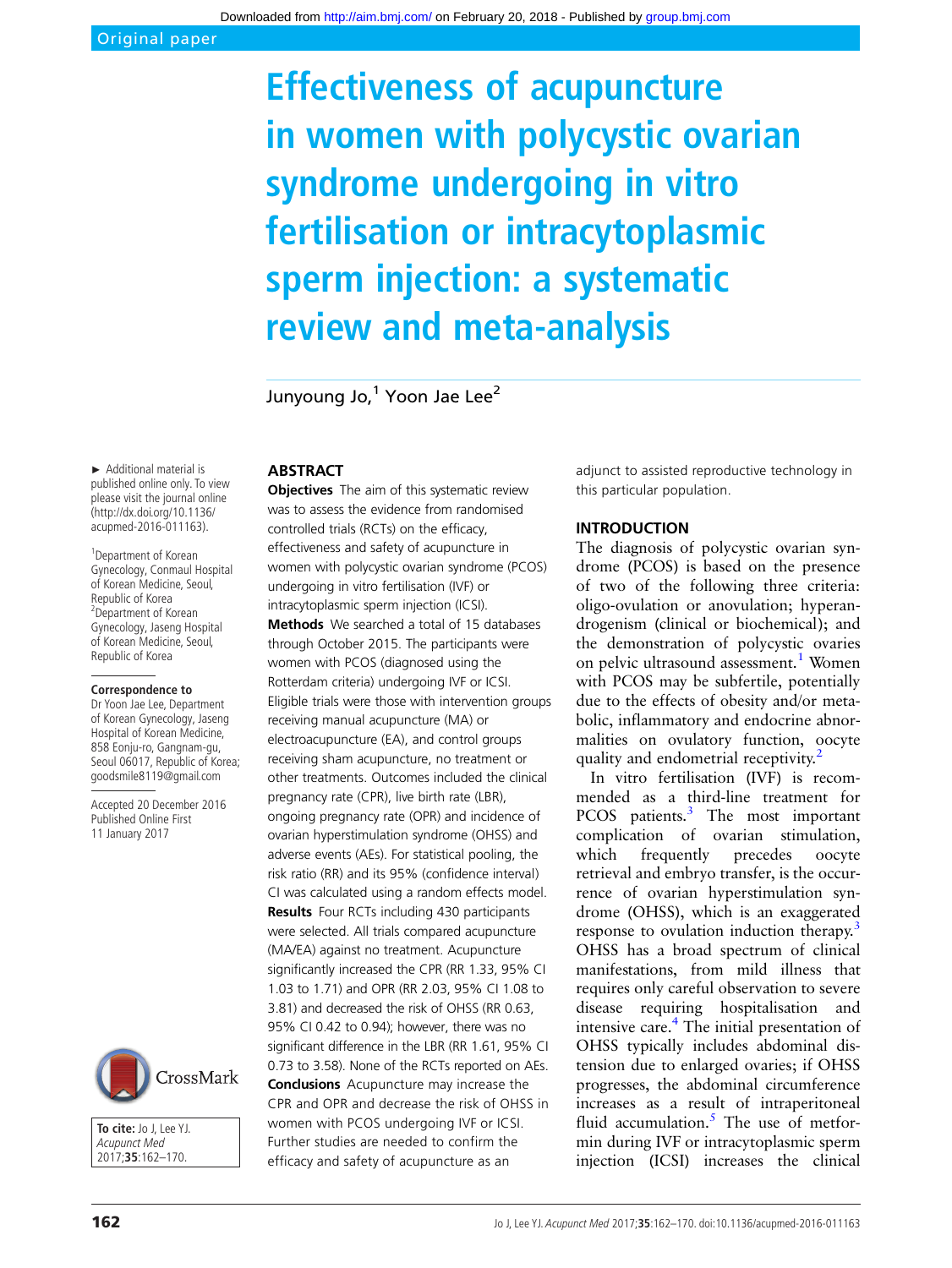# Effectiveness of acupuncture in women with polycystic ovarian syndrome undergoing in vitro fertilisation or intracytoplasmic sperm injection: a systematic review and meta-analysis

Junyoung Jo,<sup>1</sup> Yoon Jae Lee<sup>2</sup>

► Additional material is published online only. To view please visit the journal online (http://dx.doi.org/10.1136/ acupmed-2016-011163).

1 Department of Korean Gynecology, Conmaul Hospital of Korean Medicine, Seoul, Republic of Korea 2 Department of Korean Gynecology, Jaseng Hospital of Korean Medicine, Seoul, Republic of Korea

#### **Correspondence to**

Dr Yoon Jae Lee, Department of Korean Gynecology, Jaseng Hospital of Korean Medicine, 858 Eonju-ro, Gangnam-gu, Seoul 06017, Republic of Korea; goodsmile8119@gmail.com

Accepted 20 December 2016 Published Online First 11 January 2017



**To cite:** Jo J, Lee YJ. Acupunct Med 2017;**35**:162–170.

## ABSTRACT

**Objectives** The aim of this systematic review was to assess the evidence from randomised controlled trials (RCTs) on the efficacy, effectiveness and safety of acupuncture in women with polycystic ovarian syndrome (PCOS) undergoing in vitro fertilisation (IVF) or intracytoplasmic sperm injection (ICSI). Methods We searched a total of 15 databases through October 2015. The participants were women with PCOS (diagnosed using the Rotterdam criteria) undergoing IVF or ICSI. Eligible trials were those with intervention groups receiving manual acupuncture (MA) or electroacupuncture (EA), and control groups receiving sham acupuncture, no treatment or other treatments. Outcomes included the clinical pregnancy rate (CPR), live birth rate (LBR), ongoing pregnancy rate (OPR) and incidence of ovarian hyperstimulation syndrome (OHSS) and adverse events (AEs). For statistical pooling, the risk ratio (RR) and its 95% (confidence interval) CI was calculated using a random effects model. Results Four RCTs including 430 participants were selected. All trials compared acupuncture (MA/EA) against no treatment. Acupuncture significantly increased the CPR (RR 1.33, 95% CI 1.03 to 1.71) and OPR (RR 2.03, 95% CI 1.08 to 3.81) and decreased the risk of OHSS (RR 0.63, 95% CI 0.42 to 0.94); however, there was no significant difference in the LBR (RR 1.61, 95% CI 0.73 to 3.58). None of the RCTs reported on AEs. **Conclusions** Acupuncture may increase the CPR and OPR and decrease the risk of OHSS in women with PCOS undergoing IVF or ICSI. Further studies are needed to confirm the efficacy and safety of acupuncture as an

adjunct to assisted reproductive technology in this particular population.

## INTRODUCTION

The diagnosis of polycystic ovarian syndrome (PCOS) is based on the presence of two of the following three criteria: oligo-ovulation or anovulation; hyperandrogenism (clinical or biochemical); and the demonstration of polycystic ovaries on pelvic ultrasound assessment.<sup>[1](#page-7-0)</sup> Women with PCOS may be subfertile, potentially due to the effects of obesity and/or metabolic, inflammatory and endocrine abnormalities on ovulatory function, oocyte quality and endometrial receptivity.<sup>[2](#page-7-0)</sup>

In vitro fertilisation (IVF) is recommended as a third-line treatment for PCOS patients.<sup>[3](#page-7-0)</sup> The most important complication of ovarian stimulation, which frequently precedes oocyte retrieval and embryo transfer, is the occurrence of ovarian hyperstimulation syndrome (OHSS), which is an exaggerated response to ovulation induction therapy.<sup>[3](#page-7-0)</sup> OHSS has a broad spectrum of clinical manifestations, from mild illness that requires only careful observation to severe disease requiring hospitalisation and intensive care.<sup>[4](#page-7-0)</sup> The initial presentation of OHSS typically includes abdominal distension due to enlarged ovaries; if OHSS progresses, the abdominal circumference increases as a result of intraperitoneal fluid accumulation. $5$  The use of metformin during IVF or intracytoplasmic sperm injection (ICSI) increases the clinical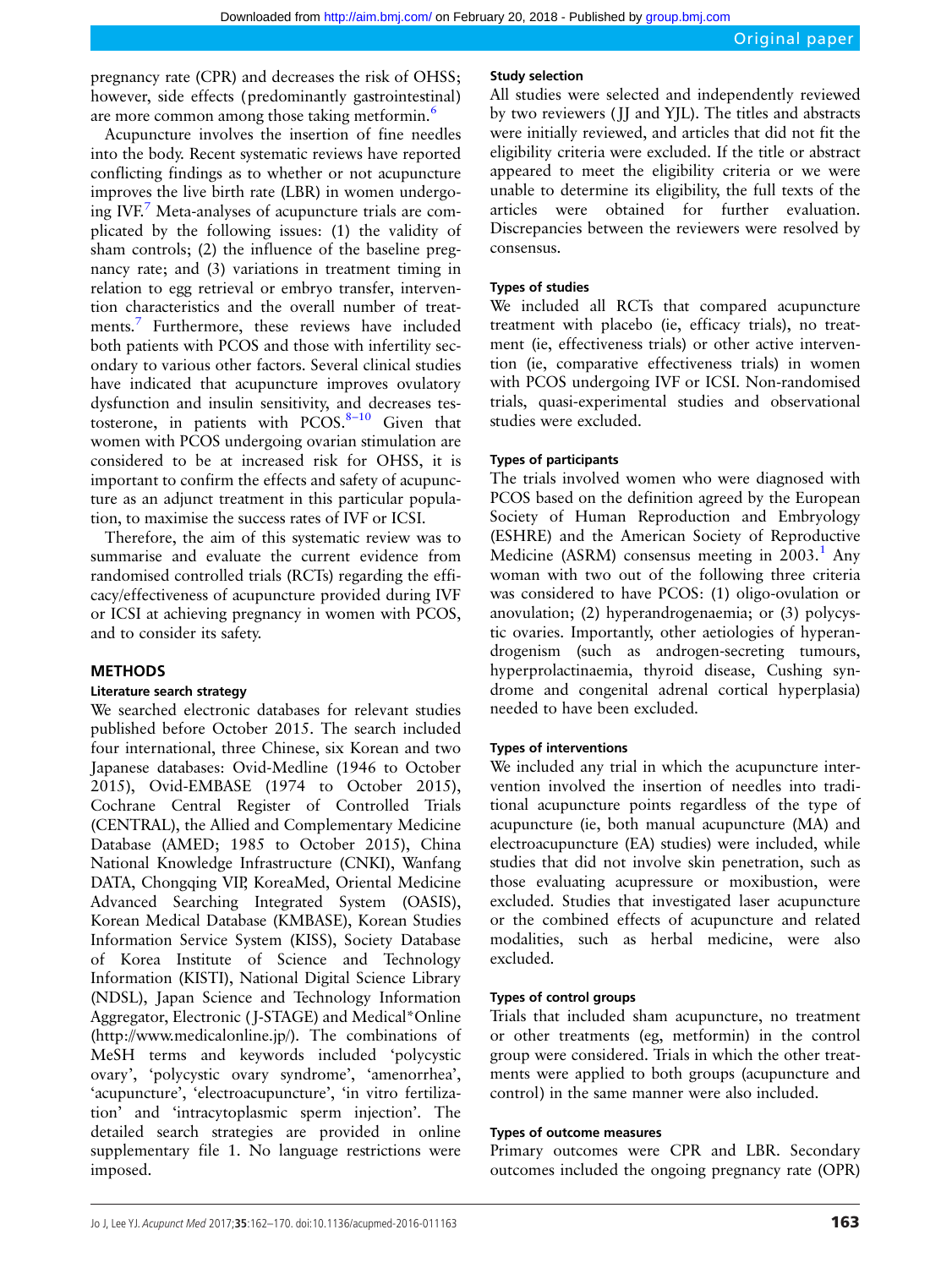pregnancy rate (CPR) and decreases the risk of OHSS; however, side effects (predominantly gastrointestinal) are more common among those taking metformin.<sup>[6](#page-7-0)</sup>

Acupuncture involves the insertion of fine needles into the body. Recent systematic reviews have reported conflicting findings as to whether or not acupuncture improves the live birth rate (LBR) in women undergoing IVF. $\frac{7}{1}$  $\frac{7}{1}$  $\frac{7}{1}$  Meta-analyses of acupuncture trials are complicated by the following issues: (1) the validity of sham controls; (2) the influence of the baseline pregnancy rate; and (3) variations in treatment timing in relation to egg retrieval or embryo transfer, intervention characteristics and the overall number of treat-ments.<sup>[7](#page-7-0)</sup> Furthermore, these reviews have included both patients with PCOS and those with infertility secondary to various other factors. Several clinical studies have indicated that acupuncture improves ovulatory dysfunction and insulin sensitivity, and decreases testosterone, in patients with  $PCOS.<sup>8-10</sup>$  $PCOS.<sup>8-10</sup>$  $PCOS.<sup>8-10</sup>$  Given that women with PCOS undergoing ovarian stimulation are considered to be at increased risk for OHSS, it is important to confirm the effects and safety of acupuncture as an adjunct treatment in this particular population, to maximise the success rates of IVF or ICSI.

Therefore, the aim of this systematic review was to summarise and evaluate the current evidence from randomised controlled trials (RCTs) regarding the efficacy/effectiveness of acupuncture provided during IVF or ICSI at achieving pregnancy in women with PCOS, and to consider its safety.

## **METHODS**

## Literature search strategy

We searched electronic databases for relevant studies published before October 2015. The search included four international, three Chinese, six Korean and two Japanese databases: Ovid-Medline (1946 to October 2015), Ovid-EMBASE (1974 to October 2015), Cochrane Central Register of Controlled Trials (CENTRAL), the Allied and Complementary Medicine Database (AMED; 1985 to October 2015), China National Knowledge Infrastructure (CNKI), Wanfang DATA, Chongqing VIP, KoreaMed, Oriental Medicine Advanced Searching Integrated System (OASIS), Korean Medical Database (KMBASE), Korean Studies Information Service System (KISS), Society Database of Korea Institute of Science and Technology Information (KISTI), National Digital Science Library (NDSL), Japan Science and Technology Information Aggregator, Electronic ( J-STAGE) and Medical\*Online ([http://www.medicalonline.jp/\)](http://www.medicalonline.jp/). The combinations of MeSH terms and keywords included 'polycystic ovary', 'polycystic ovary syndrome', 'amenorrhea', 'acupuncture', 'electroacupuncture', 'in vitro fertilization' and 'intracytoplasmic sperm injection'. The detailed search strategies are provided in online [supplementary file 1](http://dx.doi.org/10.1136/acupmed-2016-011163). No language restrictions were imposed.

## Study selection

All studies were selected and independently reviewed by two reviewers ( JJ and YJL). The titles and abstracts were initially reviewed, and articles that did not fit the eligibility criteria were excluded. If the title or abstract appeared to meet the eligibility criteria or we were unable to determine its eligibility, the full texts of the articles were obtained for further evaluation. Discrepancies between the reviewers were resolved by consensus.

## Types of studies

We included all RCTs that compared acupuncture treatment with placebo (ie, efficacy trials), no treatment (ie, effectiveness trials) or other active intervention (ie, comparative effectiveness trials) in women with PCOS undergoing IVF or ICSI. Non-randomised trials, quasi-experimental studies and observational studies were excluded.

## Types of participants

The trials involved women who were diagnosed with PCOS based on the definition agreed by the European Society of Human Reproduction and Embryology (ESHRE) and the American Society of Reproductive Medicine (ASRM) consensus meeting in  $2003<sup>1</sup>$  $2003<sup>1</sup>$  $2003<sup>1</sup>$  Any woman with two out of the following three criteria was considered to have PCOS: (1) oligo-ovulation or anovulation; (2) hyperandrogenaemia; or (3) polycystic ovaries. Importantly, other aetiologies of hyperandrogenism (such as androgen-secreting tumours, hyperprolactinaemia, thyroid disease, Cushing syndrome and congenital adrenal cortical hyperplasia) needed to have been excluded.

## Types of interventions

We included any trial in which the acupuncture intervention involved the insertion of needles into traditional acupuncture points regardless of the type of acupuncture (ie, both manual acupuncture (MA) and electroacupuncture (EA) studies) were included, while studies that did not involve skin penetration, such as those evaluating acupressure or moxibustion, were excluded. Studies that investigated laser acupuncture or the combined effects of acupuncture and related modalities, such as herbal medicine, were also excluded.

## Types of control groups

Trials that included sham acupuncture, no treatment or other treatments (eg, metformin) in the control group were considered. Trials in which the other treatments were applied to both groups (acupuncture and control) in the same manner were also included.

## Types of outcome measures

Primary outcomes were CPR and LBR. Secondary outcomes included the ongoing pregnancy rate (OPR)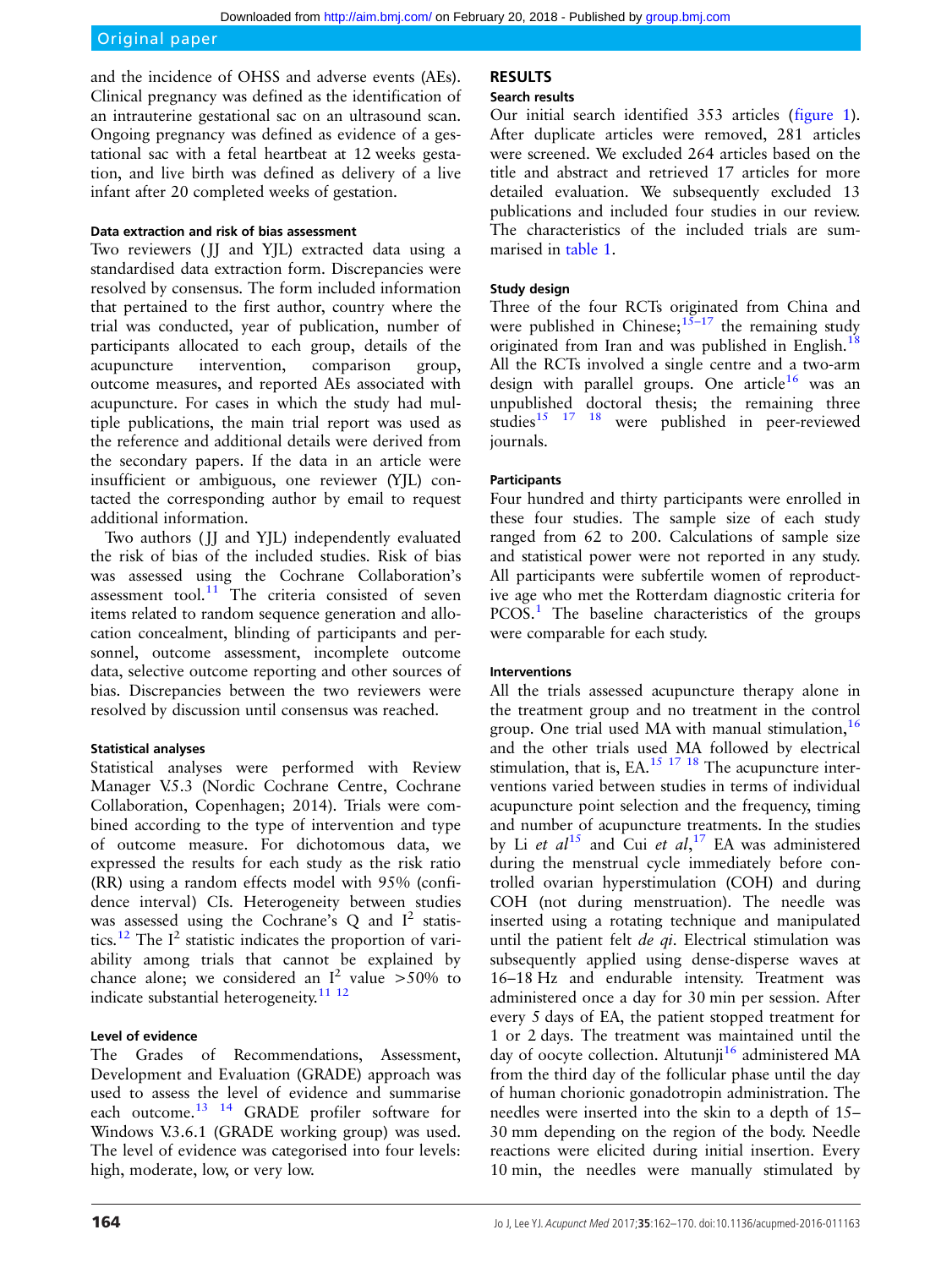and the incidence of OHSS and adverse events (AEs). Clinical pregnancy was defined as the identification of an intrauterine gestational sac on an ultrasound scan. Ongoing pregnancy was defined as evidence of a gestational sac with a fetal heartbeat at 12 weeks gestation, and live birth was defined as delivery of a live infant after 20 completed weeks of gestation.

## Data extraction and risk of bias assessment

Two reviewers (JJ and YJL) extracted data using a standardised data extraction form. Discrepancies were resolved by consensus. The form included information that pertained to the first author, country where the trial was conducted, year of publication, number of participants allocated to each group, details of the acupuncture intervention, comparison group, outcome measures, and reported AEs associated with acupuncture. For cases in which the study had multiple publications, the main trial report was used as the reference and additional details were derived from the secondary papers. If the data in an article were insufficient or ambiguous, one reviewer (YJL) contacted the corresponding author by email to request additional information.

Two authors (JJ and YJL) independently evaluated the risk of bias of the included studies. Risk of bias was assessed using the Cochrane Collaboration's assessment tool. $11$  The criteria consisted of seven items related to random sequence generation and allocation concealment, blinding of participants and personnel, outcome assessment, incomplete outcome data, selective outcome reporting and other sources of bias. Discrepancies between the two reviewers were resolved by discussion until consensus was reached.

## Statistical analyses

Statistical analyses were performed with Review Manager V.5.3 (Nordic Cochrane Centre, Cochrane Collaboration, Copenhagen; 2014). Trials were combined according to the type of intervention and type of outcome measure. For dichotomous data, we expressed the results for each study as the risk ratio (RR) using a random effects model with 95% (confidence interval) CIs. Heterogeneity between studies was assessed using the Cochrane's Q and  $I^2$  statis-tics.<sup>[12](#page-7-0)</sup> The  $I<sup>2</sup>$  statistic indicates the proportion of variability among trials that cannot be explained by chance alone; we considered an  $I^2$  value >50% to indicate substantial heterogeneity.<sup>[11 12](#page-7-0)</sup>

## Level of evidence

The Grades of Recommendations, Assessment, Development and Evaluation (GRADE) approach was used to assess the level of evidence and summarise each outcome.<sup>13</sup> <sup>14</sup> GRADE profiler software for Windows V.3.6.1 (GRADE working group) was used. The level of evidence was categorised into four levels: high, moderate, low, or very low.

# RESULTS

## Search results

Our initial search identified 353 articles [\(figure 1\)](#page-3-0). After duplicate articles were removed, 281 articles were screened. We excluded 264 articles based on the title and abstract and retrieved 17 articles for more detailed evaluation. We subsequently excluded 13 publications and included four studies in our review. The characteristics of the included trials are summarised in [table 1.](#page-4-0)

## Study design

Three of the four RCTs originated from China and were published in Chinese;  $15-17$  $15-17$  the remaining study originated from Iran and was published in English.<sup>[18](#page-7-0)</sup> All the RCTs involved a single centre and a two-arm design with parallel groups. One article<sup>[16](#page-7-0)</sup> was an unpublished doctoral thesis; the remaining three studies<sup>15</sup> <sup>17</sup> <sup>18</sup> were published in peer-reviewed journals.

## **Participants**

Four hundred and thirty participants were enrolled in these four studies. The sample size of each study ranged from 62 to 200. Calculations of sample size and statistical power were not reported in any study. All participants were subfertile women of reproductive age who met the Rotterdam diagnostic criteria for  $PCOS<sup>1</sup>$  $PCOS<sup>1</sup>$  $PCOS<sup>1</sup>$ . The baseline characteristics of the groups were comparable for each study.

## Interventions

All the trials assessed acupuncture therapy alone in the treatment group and no treatment in the control group. One trial used MA with manual stimulation,  $16$ and the other trials used MA followed by electrical stimulation, that is,  $EA$ <sup>[15 17 18](#page-7-0)</sup> The acupuncture interventions varied between studies in terms of individual acupuncture point selection and the frequency, timing and number of acupuncture treatments. In the studies by Li et  $al^{15}$  $al^{15}$  $al^{15}$  and Cui et  $al^{17}$  $al^{17}$  $al^{17}$  EA was administered during the menstrual cycle immediately before controlled ovarian hyperstimulation (COH) and during COH (not during menstruation). The needle was inserted using a rotating technique and manipulated until the patient felt *de qi*. Electrical stimulation was subsequently applied using dense-disperse waves at 16–18 Hz and endurable intensity. Treatment was administered once a day for 30 min per session. After every 5 days of EA, the patient stopped treatment for 1 or 2 days. The treatment was maintained until the day of oocyte collection. Altutunji<sup>[16](#page-7-0)</sup> administered MA from the third day of the follicular phase until the day of human chorionic gonadotropin administration. The needles were inserted into the skin to a depth of 15– 30 mm depending on the region of the body. Needle reactions were elicited during initial insertion. Every 10 min, the needles were manually stimulated by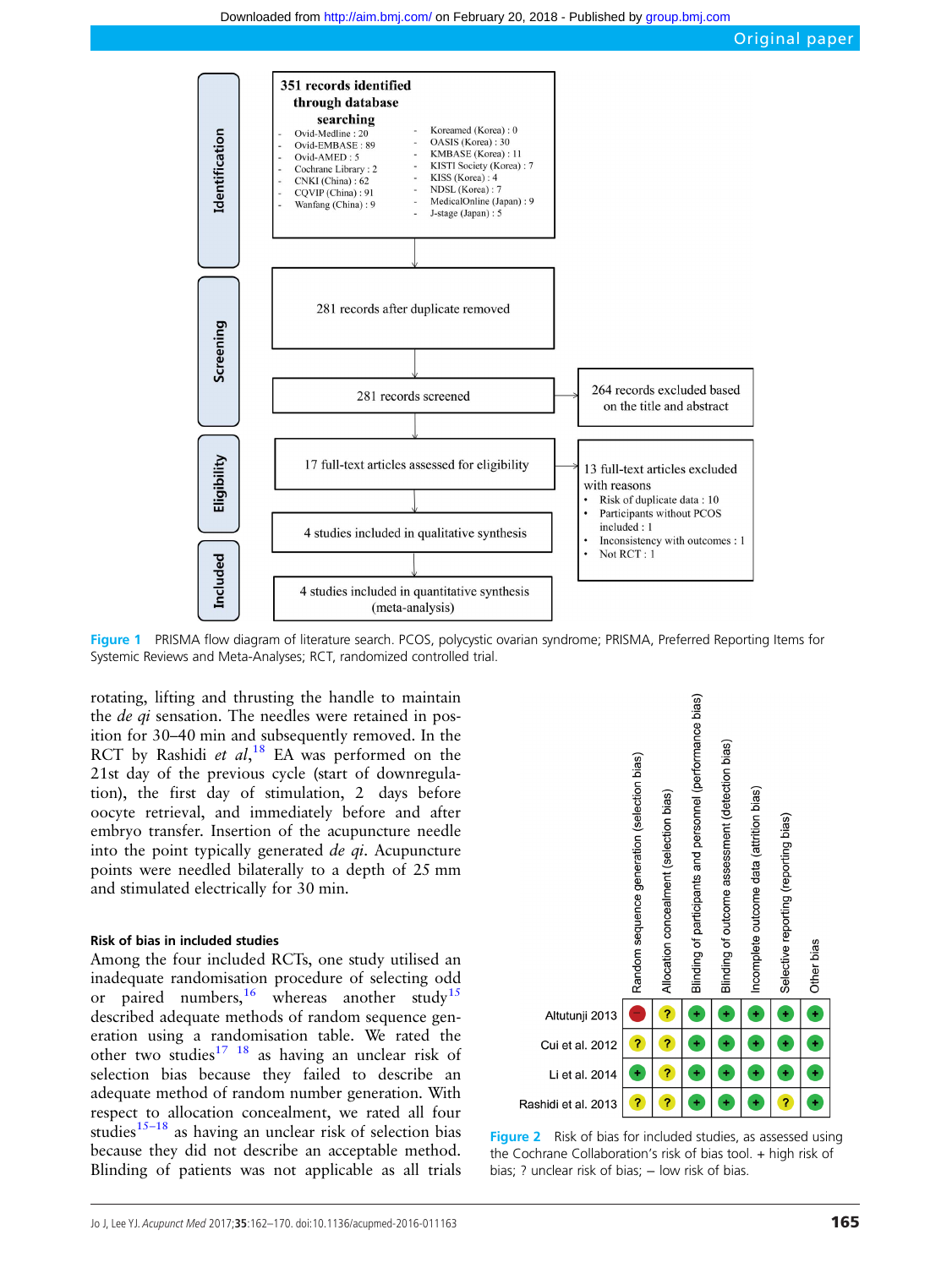

<span id="page-3-0"></span>

Figure 1 PRISMA flow diagram of literature search. PCOS, polycystic ovarian syndrome; PRISMA, Preferred Reporting Items for Systemic Reviews and Meta-Analyses; RCT, randomized controlled trial.

rotating, lifting and thrusting the handle to maintain the *de qi* sensation. The needles were retained in position for 30–40 min and subsequently removed. In the RCT by Rashidi et  $al$ ,<sup>[18](#page-7-0)</sup> EA was performed on the 21st day of the previous cycle (start of downregulation), the first day of stimulation, 2 days before oocyte retrieval, and immediately before and after embryo transfer. Insertion of the acupuncture needle into the point typically generated  $de\ qi$ . Acupuncture points were needled bilaterally to a depth of 25 mm and stimulated electrically for 30 min.

#### Risk of bias in included studies

Among the four included RCTs, one study utilised an inadequate randomisation procedure of selecting odd or paired numbers,<sup>[16](#page-7-0)</sup> whereas another study<sup>[15](#page-7-0)</sup> described adequate methods of random sequence generation using a randomisation table. We rated the other two studies $17 \frac{18}{18}$  as having an unclear risk of selection bias because they failed to describe an adequate method of random number generation. With respect to allocation concealment, we rated all four studies $15-18$  $15-18$  as having an unclear risk of selection bias because they did not describe an acceptable method. Blinding of patients was not applicable as all trials



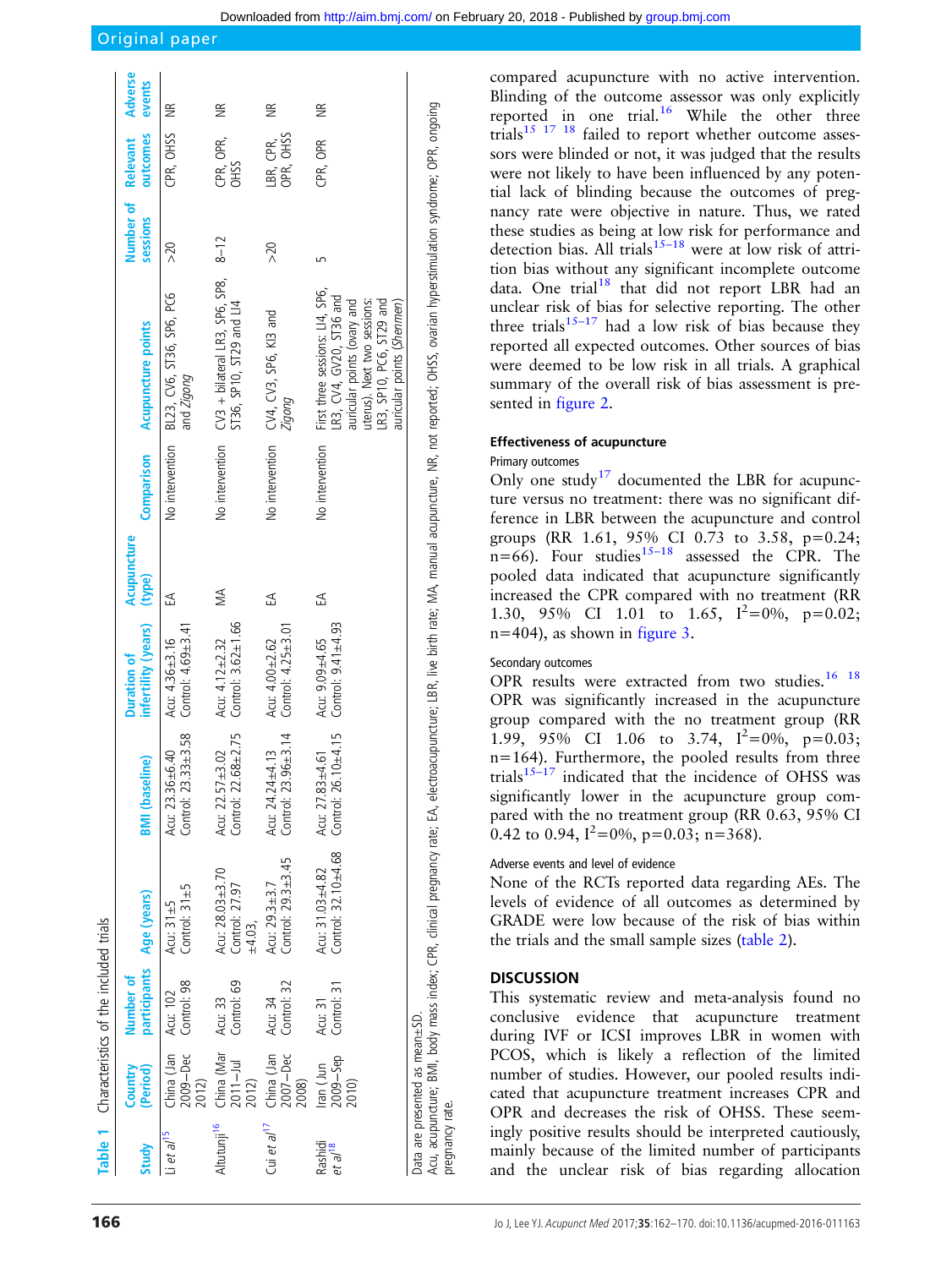<span id="page-4-0"></span>

|                                  |                                     | <b>Table 1</b> Characteristics of the included trials |                                                   |                                              |                                            |             |                 |                                                                                                                                                                                                                     |             |                                |                          |
|----------------------------------|-------------------------------------|-------------------------------------------------------|---------------------------------------------------|----------------------------------------------|--------------------------------------------|-------------|-----------------|---------------------------------------------------------------------------------------------------------------------------------------------------------------------------------------------------------------------|-------------|--------------------------------|--------------------------|
| Study                            | (Period)<br>Country                 | Number of                                             | participants Age (years)                          | <b>BMI</b> (baseline)                        | infertility (years) (type)<br>Duration of  | Acupuncture | Comparison      | Acupuncture points                                                                                                                                                                                                  | sessions    | Number of Relevant<br>outcomes | <b>Adverse</b><br>events |
| Li et al <sup>15</sup>           | China (Jan<br>$2009 - Dec$<br>2012) | Control: 98<br>Acu: 102                               | Control: $31 \pm 5$<br>Acu: $31\pm5$              | Control: 23.33±3.58<br>Acu: 23.36±6.40       | Control: $4.69 + 3.41$<br>Acu: 4.36±3.16   | EÁ          | No intervention | BL23, CV6, ST36, SP6, PC6<br>and Zigong                                                                                                                                                                             | $\approx$   | CPR, OHSS                      | ⋚                        |
| Altutunji <sup>16</sup>          | China (Mar<br>$2011 -$ Jul<br>2012) | Control: 69<br>Acu: 33                                | Acu: $28.03 + 3.70$<br>Control: 27.97<br>$+4.03,$ | Control: 22.68±2.75<br>Acu: $22.57 + 3.02$   | Control: $3.62 \pm 1.66$<br>Acu: 4.12±2.32 | $\leq$      | No intervention | CV3 + bilateral LR3, SP6, SP8,<br>ST36, SP10, ST29 and LI4                                                                                                                                                          | $8 - 12$    | CPR, OPR,<br><b>OHSS</b>       | $\widetilde{\Xi}$        |
| Cui et al <sup>17</sup>          | China (Jan<br>2007-Dec<br>2008)     | Control: 32<br>Acu: 34                                | Control: 29.3±3.45<br>Acu: 29.3±3.7               | Control: 23.96±3.14<br>Acu: 24.24 $\pm$ 4.13 | Control: $4.25 \pm 3.01$<br>Acu: 4.00±2.62 | EÁ          | No intervention | CV4, CV3, SP6, KI3 and<br>Zigong                                                                                                                                                                                    | $\geqslant$ | BR, CPR,<br>OPR, OHSS          | $\widetilde{\Xi}$        |
| Rashidi<br>$et$ al <sup>18</sup> | $2009 -$ Sep<br>Iran (Jun<br>2010)  | Control: 31<br>Acu: 31                                | Control: 32.10±4.68<br>Acu: $31.03 + 4.82$        | Control: 26.10±4.15<br>Acu: $27.83 + 4.61$   | Control: $9.41 + 4.93$<br>Acu: 9.09±4.65   | EÁ          | No intervention | First three sessions: LI4, SP6,<br>R3, CV4, GV20, ST36 and<br>LR3, SP10, PC6, ST29 and<br>uterus). Next two sessions:<br>auricular points (Shenmen)<br>auricular points (ovary and                                  |             | CPR, OPR                       | $\widetilde{\Xi}$        |
| pregnancy rate.                  | Data are presented as mean±SD       |                                                       |                                                   |                                              |                                            |             |                 | Acu, acupuncture; BMI, body mass index; CPR, clinical pregnancy rate; EA, electroacupuncture; LBR, live birth rate; MA, manual acupuncture; NR, not reported; OHSS, ovarian hyperstimulation syndrome; OPR, ongoing |             |                                |                          |

Downloaded from<http://aim.bmj.com/>on February 20, 2018 - Published by [group.bmj.com](http://group.bmj.com)

compared acupuncture with no active intervention. Blinding of the outcome assessor was only explicitly reported in one trial.<sup>[16](#page-7-0)</sup> While the other three trials<sup>[15 17 18](#page-7-0)</sup> failed to report whether outcome assessors were blinded or not, it was judged that the results were not likely to have been influenced by any potential lack of blinding because the outcomes of pregnancy rate were objective in nature. Thus, we rated these studies as being at low risk for performance and detection bias. All trials<sup>15–[18](#page-7-0)</sup> were at low risk of attrition bias without any significant incomplete outcome data. One trial<sup>[18](#page-7-0)</sup> that did not report LBR had an unclear risk of bias for selective reporting. The other three trials<sup>15–[17](#page-7-0)</sup> had a low risk of bias because they reported all expected outcomes. Other sources of bias were deemed to be low risk in all trials. A graphical summary of the overall risk of bias assessment is presented in [figure 2](#page-3-0).

## Effectiveness of acupuncture

## Primary outcomes

Only one study<sup>[17](#page-7-0)</sup> documented the LBR for acupuncture versus no treatment: there was no significant difference in LBR between the acupuncture and control groups (RR 1.61, 95% CI 0.73 to 3.58,  $p=0.24$ ;  $n=66$ ). Four studies<sup>[15](#page-7-0)–18</sup> assessed the CPR. The pooled data indicated that acupuncture significantly increased the CPR compared with no treatment (RR 1.30, 95% CI 1.01 to 1.65,  $I^2=0\%$ , p=0.02;  $n=404$ , as shown in [figure 3](#page-5-0).

## Secondary outcomes

OPR results were extracted from two studies.<sup>16</sup> <sup>18</sup> OPR was significantly increased in the acupuncture group compared with the no treatment group (RR 1.99, 95% CI 1.06 to 3.74,  $I^2=0\%$ , p=0.03;  $n=164$ ). Furthermore, the pooled results from three trials<sup>[15](#page-7-0)–17</sup> indicated that the incidence of OHSS was significantly lower in the acupuncture group compared with the no treatment group (RR 0.63, 95% CI 0.42 to 0.94,  $I^2 = 0\%$ , p=0.03; n=368).

## Adverse events and level of evidence

None of the RCTs reported data regarding AEs. The levels of evidence of all outcomes as determined by GRADE were low because of the risk of bias within the trials and the small sample sizes [\(table 2\)](#page-6-0).

## **DISCUSSION**

This systematic review and meta-analysis found no conclusive evidence that acupuncture treatment during IVF or ICSI improves LBR in women with PCOS, which is likely a reflection of the limited number of studies. However, our pooled results indicated that acupuncture treatment increases CPR and OPR and decreases the risk of OHSS. These seemingly positive results should be interpreted cautiously, mainly because of the limited number of participants and the unclear risk of bias regarding allocation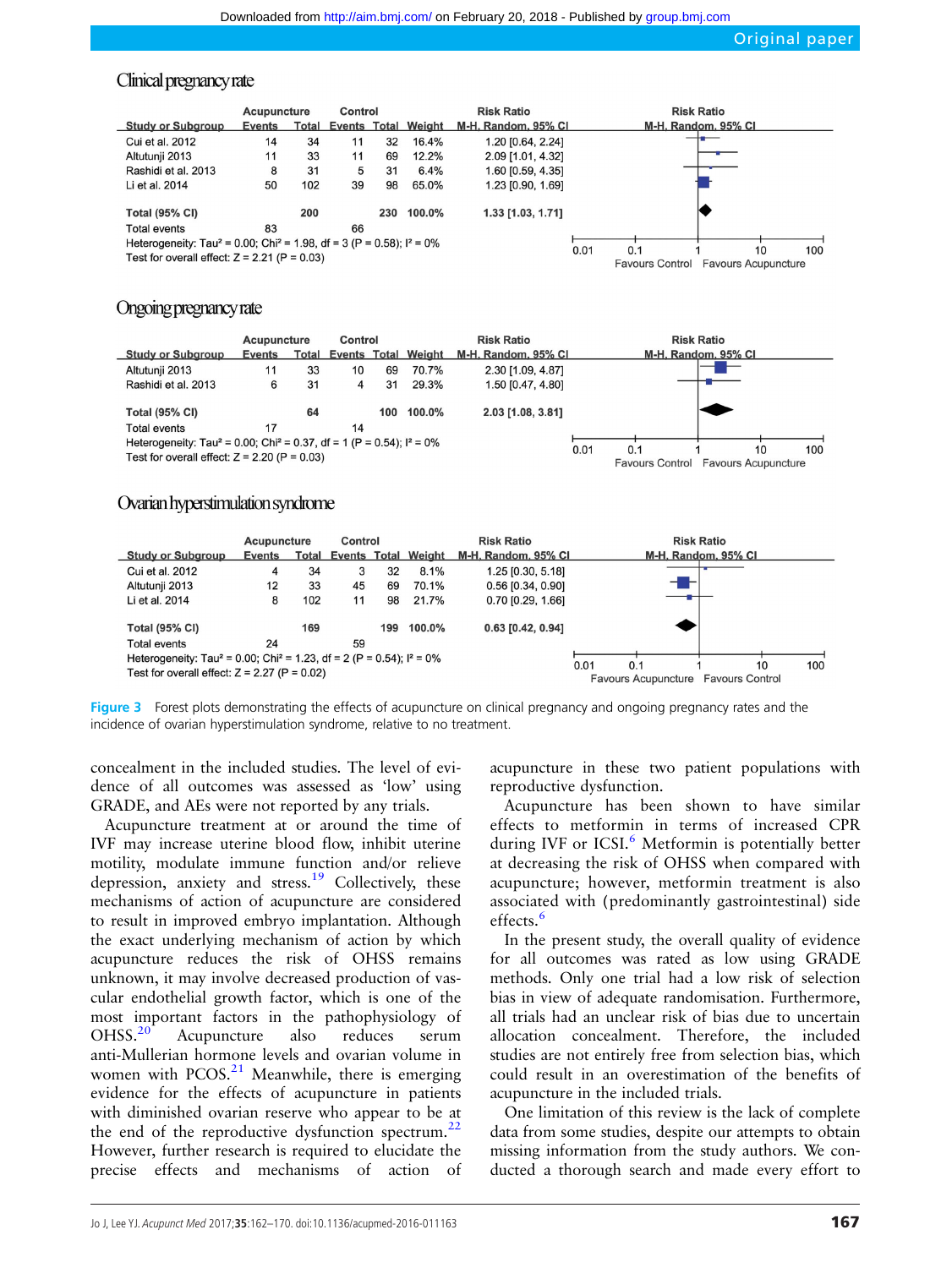## <span id="page-5-0"></span>Clinical pregnancy rate

|                                                                                                 | Acupuncture |     | Control                   |     |        | <b>Risk Ratio</b>   |      |     | <b>Risk Ratio</b>                                |     |
|-------------------------------------------------------------------------------------------------|-------------|-----|---------------------------|-----|--------|---------------------|------|-----|--------------------------------------------------|-----|
| <b>Study or Subgroup</b>                                                                        | Events      |     | <b>Total Events Total</b> |     | Weight | M-H, Random, 95% CI |      |     | M-H, Random, 95% CI                              |     |
| Cui et al. 2012                                                                                 | 14          | 34  | 11                        | 32  | 16.4%  | 1.20 [0.64, 2.24]   |      |     |                                                  |     |
| Altutunji 2013                                                                                  | 11          | 33  | 11                        | 69  | 12.2%  | 2.09 [1.01, 4.32]   |      |     |                                                  |     |
| Rashidi et al. 2013                                                                             | 8           | 31  | 5                         | 31  | 6.4%   | 1.60 [0.59, 4.35]   |      |     |                                                  |     |
| Li et al. 2014                                                                                  | 50          | 102 | 39                        | 98  | 65.0%  | 1.23 [0.90, 1.69]   |      |     |                                                  |     |
| <b>Total (95% CI)</b>                                                                           |             | 200 |                           | 230 | 100.0% | 1.33 [1.03, 1.71]   |      |     |                                                  |     |
| <b>Total events</b>                                                                             | 83          |     | 66                        |     |        |                     |      |     |                                                  |     |
| Heterogeneity: Tau <sup>2</sup> = 0.00; Chi <sup>2</sup> = 1.98, df = 3 (P = 0.58); $I^2 = 0\%$ |             |     |                           |     |        |                     |      |     |                                                  |     |
| Test for overall effect: $Z = 2.21$ (P = 0.03)                                                  |             |     |                           |     |        |                     | 0.01 | 0.1 | 10<br><b>Favours Control</b> Favours Acupuncture | 100 |
|                                                                                                 |             |     |                           |     |        |                     |      |     |                                                  |     |

## Ongoing pregnancy rate



## Ovarian hyperstimulation syndrome



Figure 3 Forest plots demonstrating the effects of acupuncture on clinical pregnancy and ongoing pregnancy rates and the incidence of ovarian hyperstimulation syndrome, relative to no treatment.

concealment in the included studies. The level of evidence of all outcomes was assessed as 'low' using GRADE, and AEs were not reported by any trials.

Acupuncture treatment at or around the time of IVF may increase uterine blood flow, inhibit uterine motility, modulate immune function and/or relieve depression, anxiety and stress.<sup>[19](#page-7-0)</sup> Collectively, these mechanisms of action of acupuncture are considered to result in improved embryo implantation. Although the exact underlying mechanism of action by which acupuncture reduces the risk of OHSS remains unknown, it may involve decreased production of vascular endothelial growth factor, which is one of the most important factors in the pathophysiology of OHSS.<sup>[20](#page-7-0)</sup> Acupuncture also reduces serum anti-Mullerian hormone levels and ovarian volume in women with  $PCOS.<sup>21</sup>$  $PCOS.<sup>21</sup>$  $PCOS.<sup>21</sup>$  Meanwhile, there is emerging evidence for the effects of acupuncture in patients with diminished ovarian reserve who appear to be at the end of the reproductive dysfunction spectrum. $22$ However, further research is required to elucidate the precise effects and mechanisms of action of

acupuncture in these two patient populations with reproductive dysfunction.

Acupuncture has been shown to have similar effects to metformin in terms of increased CPR during IVF or ICSI.<sup>[6](#page-7-0)</sup> Metformin is potentially better at decreasing the risk of OHSS when compared with acupuncture; however, metformin treatment is also associated with ( predominantly gastrointestinal) side effects.<sup>[6](#page-7-0)</sup>

In the present study, the overall quality of evidence for all outcomes was rated as low using GRADE methods. Only one trial had a low risk of selection bias in view of adequate randomisation. Furthermore, all trials had an unclear risk of bias due to uncertain allocation concealment. Therefore, the included studies are not entirely free from selection bias, which could result in an overestimation of the benefits of acupuncture in the included trials.

One limitation of this review is the lack of complete data from some studies, despite our attempts to obtain missing information from the study authors. We conducted a thorough search and made every effort to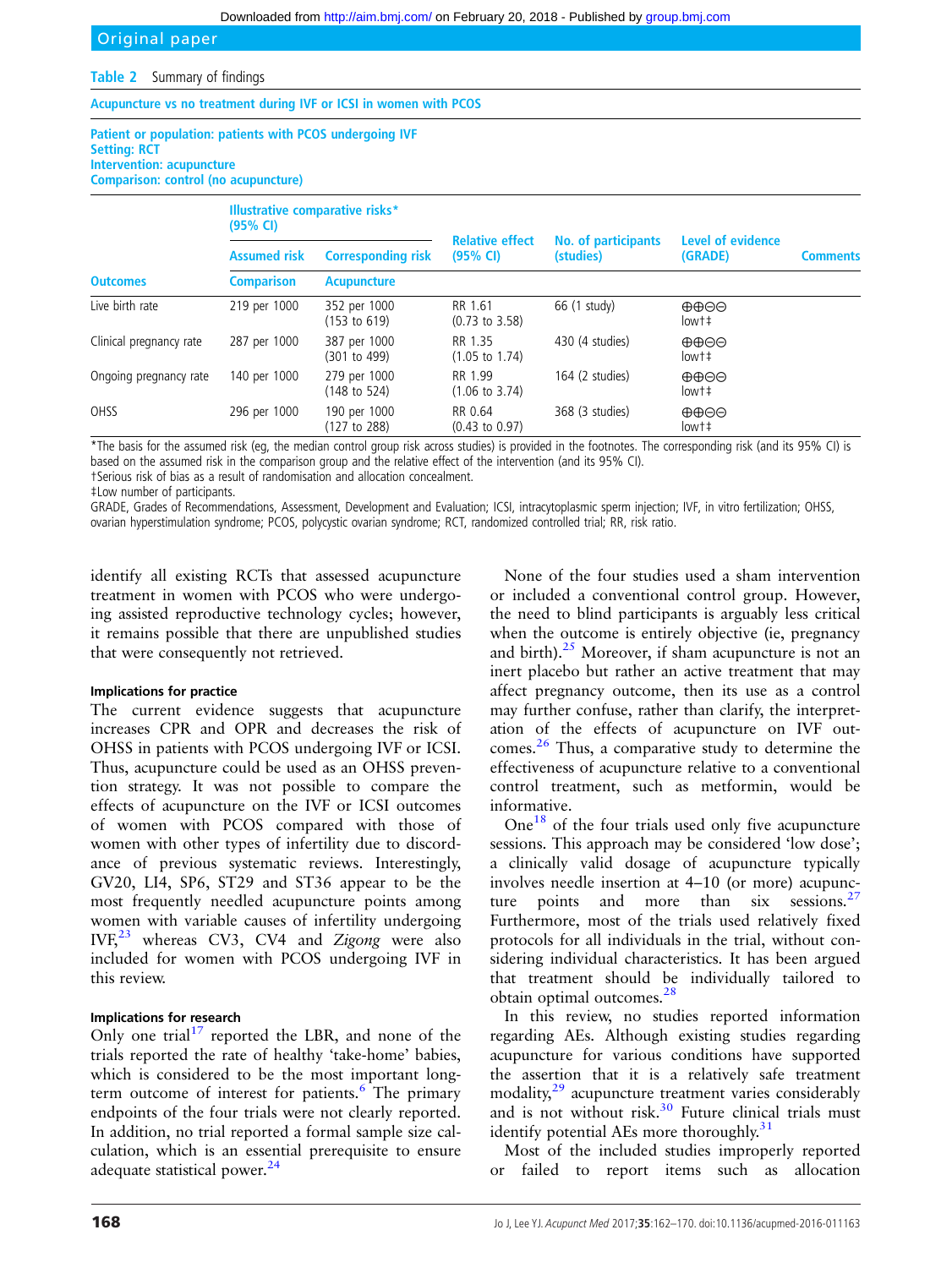## <span id="page-6-0"></span>Table 2 Summary of findings

Acupuncture vs no treatment during IVF or ICSI in women with PCOS

#### Patient or population: patients with PCOS undergoing IVF Setting: RCT Intervention: acupuncture

Comparison: control (no acupuncture)

|                         | (95% CI)            | <b>Illustrative comparative risks*</b>  |                                      |                                  | Level of evidence<br>(GRADE)               | <b>Comments</b> |
|-------------------------|---------------------|-----------------------------------------|--------------------------------------|----------------------------------|--------------------------------------------|-----------------|
|                         | <b>Assumed risk</b> | <b>Corresponding risk</b>               | <b>Relative effect</b><br>(95% CI)   | No. of participants<br>(studies) |                                            |                 |
| <b>Outcomes</b>         | <b>Comparison</b>   | <b>Acupuncture</b>                      |                                      |                                  |                                            |                 |
| Live birth rate         | 219 per 1000        | 352 per 1000<br>$(153 \text{ to } 619)$ | RR 1.61<br>$(0.73 \text{ to } 3.58)$ | 66 (1 study)                     | $\oplus \oplus \ominus$<br>$low++$         |                 |
| Clinical pregnancy rate | 287 per 1000        | 387 per 1000<br>(301 to 499)            | RR 1.35<br>$(1.05 \text{ to } 1.74)$ | 430 (4 studies)                  | $\oplus \oplus \ominus \ominus$<br>$low++$ |                 |
| Ongoing pregnancy rate  | 140 per 1000        | 279 per 1000<br>$(148 \text{ to } 524)$ | RR 1.99<br>$(1.06 \text{ to } 3.74)$ | 164 (2 studies)                  | $\oplus \oplus \ominus$<br>$low++$         |                 |
| <b>OHSS</b>             | 296 per 1000        | 190 per 1000<br>(127 to 288)            | RR 0.64<br>$(0.43 \text{ to } 0.97)$ | 368 (3 studies)                  | $\oplus \oplus \ominus$<br>$low++$         |                 |

\*The basis for the assumed risk (eg, the median control group risk across studies) is provided in the footnotes. The corresponding risk (and its 95% CI) is based on the assumed risk in the comparison group and the relative effect of the intervention (and its 95% CI).

†Serious risk of bias as a result of randomisation and allocation concealment.

‡Low number of participants.

GRADE, Grades of Recommendations, Assessment, Development and Evaluation; ICSI, intracytoplasmic sperm injection; IVF, in vitro fertilization; OHSS, ovarian hyperstimulation syndrome; PCOS, polycystic ovarian syndrome; RCT, randomized controlled trial; RR, risk ratio.

identify all existing RCTs that assessed acupuncture treatment in women with PCOS who were undergoing assisted reproductive technology cycles; however, it remains possible that there are unpublished studies that were consequently not retrieved.

## Implications for practice

The current evidence suggests that acupuncture increases CPR and OPR and decreases the risk of OHSS in patients with PCOS undergoing IVF or ICSI. Thus, acupuncture could be used as an OHSS prevention strategy. It was not possible to compare the effects of acupuncture on the IVF or ICSI outcomes of women with PCOS compared with those of women with other types of infertility due to discordance of previous systematic reviews. Interestingly, GV20, LI4, SP6, ST29 and ST36 appear to be the most frequently needled acupuncture points among women with variable causes of infertility undergoing IVF, $23$  whereas CV3, CV4 and Zigong were also included for women with PCOS undergoing IVF in this review.

## Implications for research

Only one trial<sup>[17](#page-7-0)</sup> reported the LBR, and none of the trials reported the rate of healthy 'take-home' babies, which is considered to be the most important long-term outcome of interest for patients.<sup>[6](#page-7-0)</sup> The primary endpoints of the four trials were not clearly reported. In addition, no trial reported a formal sample size calculation, which is an essential prerequisite to ensure adequate statistical power.<sup>24</sup>

None of the four studies used a sham intervention or included a conventional control group. However, the need to blind participants is arguably less critical when the outcome is entirely objective (ie, pregnancy and birth). $25$  Moreover, if sham acupuncture is not an inert placebo but rather an active treatment that may affect pregnancy outcome, then its use as a control may further confuse, rather than clarify, the interpretation of the effects of acupuncture on IVF outcomes. $26$  Thus, a comparative study to determine the effectiveness of acupuncture relative to a conventional control treatment, such as metformin, would be informative.

One<sup>[18](#page-7-0)</sup> of the four trials used only five acupuncture sessions. This approach may be considered 'low dose'; a clinically valid dosage of acupuncture typically involves needle insertion at 4–10 (or more) acupuncture points and more than  $six$  sessions.<sup>[27](#page-7-0)</sup> Furthermore, most of the trials used relatively fixed protocols for all individuals in the trial, without considering individual characteristics. It has been argued that treatment should be individually tailored to obtain optimal outcomes.<sup>[28](#page-8-0)</sup>

In this review, no studies reported information regarding AEs. Although existing studies regarding acupuncture for various conditions have supported the assertion that it is a relatively safe treatment modality,<sup>[29](#page-8-0)</sup> acupuncture treatment varies considerably and is not without risk. $30$  Future clinical trials must identify potential AEs more thoroughly. $31$ 

Most of the included studies improperly reported or failed to report items such as allocation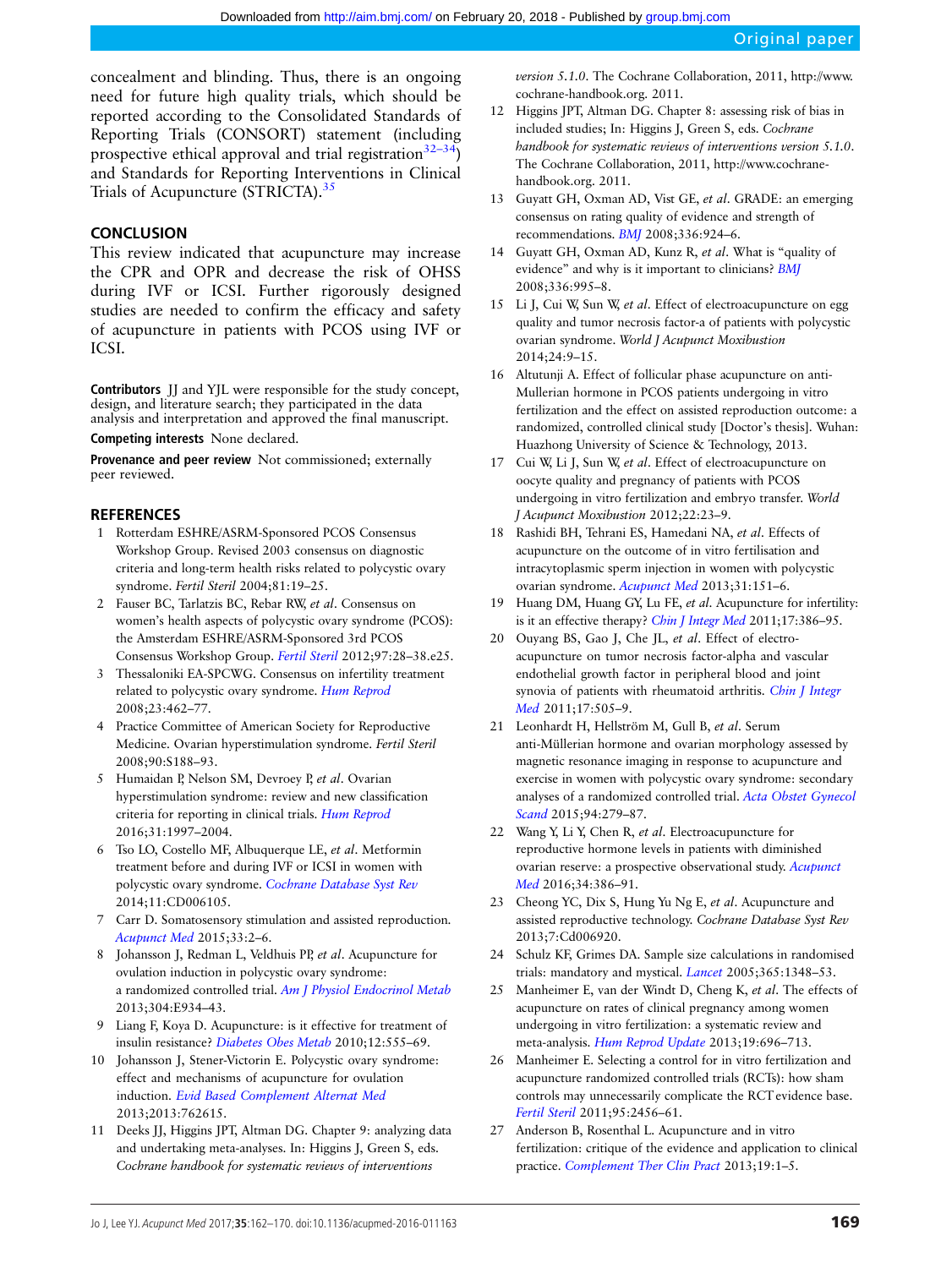<span id="page-7-0"></span>concealment and blinding. Thus, there is an ongoing need for future high quality trials, which should be reported according to the Consolidated Standards of Reporting Trials (CONSORT) statement (including prospective ethical approval and trial registration<sup>32–34</sup>) and Standards for Reporting Interventions in Clinical Trials of Acupuncture (STRICTA).<sup>[35](#page-8-0)</sup>

## **CONCLUSION**

This review indicated that acupuncture may increase the CPR and OPR and decrease the risk of OHSS during IVF or ICSI. Further rigorously designed studies are needed to confirm the efficacy and safety of acupuncture in patients with PCOS using IVF or ICSI.

Contributors II and YIL were responsible for the study concept, design, and literature search; they participated in the data analysis and interpretation and approved the final manuscript.

Competing interests None declared.

Provenance and peer review Not commissioned; externally peer reviewed.

#### **REFERENCES**

- 1 Rotterdam ESHRE/ASRM-Sponsored PCOS Consensus Workshop Group. Revised 2003 consensus on diagnostic criteria and long-term health risks related to polycystic ovary syndrome. Fertil Steril 2004;81:19–25.
- 2 Fauser BC, Tarlatzis BC, Rebar RW, et al. Consensus on women's health aspects of polycystic ovary syndrome (PCOS): the Amsterdam ESHRE/ASRM-Sponsored 3rd PCOS Consensus Workshop Group. [Fertil Steril](http://dx.doi.org/10.1016/j.fertnstert.2011.09.024) 2012;97:28–38.e25.
- 3 Thessaloniki EA-SPCWG. Consensus on infertility treatment related to polycystic ovary syndrome. [Hum Reprod](http://dx.doi.org/10.1093/humrep/dem426) 2008;23:462–77.
- 4 Practice Committee of American Society for Reproductive Medicine. Ovarian hyperstimulation syndrome. Fertil Steril 2008;90:S188–93.
- 5 Humaidan P, Nelson SM, Devroey P, et al. Ovarian hyperstimulation syndrome: review and new classification criteria for reporting in clinical trials. [Hum Reprod](http://dx.doi.org/10.1093/humrep/dew149) 2016;31:1997–2004.
- 6 Tso LO, Costello MF, Albuquerque LE, et al. Metformin treatment before and during IVF or ICSI in women with polycystic ovary syndrome. [Cochrane Database Syst Rev](http://dx.doi.org/10.1002/14651858.CD006105.pub3) 2014;11:CD006105.
- 7 Carr D. Somatosensory stimulation and assisted reproduction. [Acupunct Med](http://dx.doi.org/10.1136/acupmed-2014-010739) 2015;33:2–6.
- 8 Johansson J, Redman L, Veldhuis PP, et al. Acupuncture for ovulation induction in polycystic ovary syndrome: a randomized controlled trial. [Am J Physiol Endocrinol Metab](http://dx.doi.org/10.1152/ajpendo.00039.2013) 2013;304:E934–43.
- 9 Liang F, Koya D. Acupuncture: is it effective for treatment of insulin resistance? [Diabetes Obes Metab](http://dx.doi.org/10.1111/j.1463-1326.2009.01192.x) 2010;12:555–69.
- 10 Johansson J, Stener-Victorin E. Polycystic ovary syndrome: effect and mechanisms of acupuncture for ovulation induction. [Evid Based Complement Alternat Med](http://dx.doi.org/10.1155/2013/762615) 2013;2013:762615.
- 11 Deeks JJ, Higgins JPT, Altman DG. Chapter 9: analyzing data and undertaking meta-analyses. In: Higgins J, Green S, eds. Cochrane handbook for systematic reviews of interventions

version 5.1.0. The Cochrane Collaboration, 2011, [http://www.](http://www.cochrane-handbook.org) [cochrane-handbook.org](http://www.cochrane-handbook.org). 2011.

- 12 Higgins JPT, Altman DG. Chapter 8: assessing risk of bias in included studies; In: Higgins J, Green S, eds. Cochrane handbook for systematic reviews of interventions version 5.1.0. The Cochrane Collaboration, 2011, [http://www.cochrane](http://www.cochrane-handbook.org)[handbook.org](http://www.cochrane-handbook.org). 2011.
- 13 Guyatt GH, Oxman AD, Vist GE, et al. GRADE: an emerging consensus on rating quality of evidence and strength of recommendations. [BMJ](http://dx.doi.org/10.1136/bmj.39489.470347.AD) 2008;336:924–6.
- 14 Guyatt GH, Oxman AD, Kunz R, et al. What is "quality of evidence" and why is it important to clinicians? [BMJ](http://dx.doi.org/10.1136/bmj.39490.551019.BE) 2008;336:995–8.
- 15 Li J, Cui W, Sun W, et al. Effect of electroacupuncture on egg quality and tumor necrosis factor-a of patients with polycystic ovarian syndrome. World J Acupunct Moxibustion 2014;24:9–15.
- 16 Altutunji A. Effect of follicular phase acupuncture on anti-Mullerian hormone in PCOS patients undergoing in vitro fertilization and the effect on assisted reproduction outcome: a randomized, controlled clinical study [Doctor's thesis]. Wuhan: Huazhong University of Science & Technology, 2013.
- 17 Cui W, Li J, Sun W, et al. Effect of electroacupuncture on oocyte quality and pregnancy of patients with PCOS undergoing in vitro fertilization and embryo transfer. World J Acupunct Moxibustion 2012;22:23–9.
- 18 Rashidi BH, Tehrani ES, Hamedani NA, et al. Effects of acupuncture on the outcome of in vitro fertilisation and intracytoplasmic sperm injection in women with polycystic ovarian syndrome. [Acupunct Med](http://dx.doi.org/10.1136/acupmed-2012-010198) 2013;31:151-6.
- 19 Huang DM, Huang GY, Lu FE, et al. Acupuncture for infertility: is it an effective therapy? [Chin J Integr Med](http://dx.doi.org/10.1007/s11655-011-0611-8) 2011;17:386-95.
- 20 Ouyang BS, Gao J, Che JL, et al. Effect of electroacupuncture on tumor necrosis factor-alpha and vascular endothelial growth factor in peripheral blood and joint synovia of patients with rheumatoid arthritis. [Chin J Integr](http://dx.doi.org/10.1007/s11655-011-0783-2) [Med](http://dx.doi.org/10.1007/s11655-011-0783-2) 2011;17:505–9.
- 21 Leonhardt H, Hellström M, Gull B, et al. Serum anti-Müllerian hormone and ovarian morphology assessed by magnetic resonance imaging in response to acupuncture and exercise in women with polycystic ovary syndrome: secondary analyses of a randomized controlled trial. [Acta Obstet Gynecol](http://dx.doi.org/10.1111/aogs.12571) [Scand](http://dx.doi.org/10.1111/aogs.12571) 2015;94:279–87.
- 22 Wang Y, Li Y, Chen R, et al. Electroacupuncture for reproductive hormone levels in patients with diminished ovarian reserve: a prospective observational study. [Acupunct](http://dx.doi.org/10.1136/acupmed-2015-011014) [Med](http://dx.doi.org/10.1136/acupmed-2015-011014) 2016;34:386–91.
- 23 Cheong YC, Dix S, Hung Yu Ng E, et al. Acupuncture and assisted reproductive technology. Cochrane Database Syst Rev 2013;7:Cd006920.
- 24 Schulz KF, Grimes DA. Sample size calculations in randomised trials: mandatory and mystical. *[Lancet](http://dx.doi.org/10.1016/S0140-6736(05)61034-3)* 2005;365:1348-53.
- 25 Manheimer E, van der Windt D, Cheng K, et al. The effects of acupuncture on rates of clinical pregnancy among women undergoing in vitro fertilization: a systematic review and meta-analysis. [Hum Reprod Update](http://dx.doi.org/10.1093/humupd/dmt026) 2013;19:696-713.
- 26 Manheimer E. Selecting a control for in vitro fertilization and acupuncture randomized controlled trials (RCTs): how sham controls may unnecessarily complicate the RCT evidence base. [Fertil Steril](http://dx.doi.org/10.1016/j.fertnstert.2011.04.040) 2011;95:2456–61.
- 27 Anderson B, Rosenthal L. Acupuncture and in vitro fertilization: critique of the evidence and application to clinical practice. [Complement Ther Clin Pract](http://dx.doi.org/10.1016/j.ctcp.2012.11.002) 2013;19:1–5.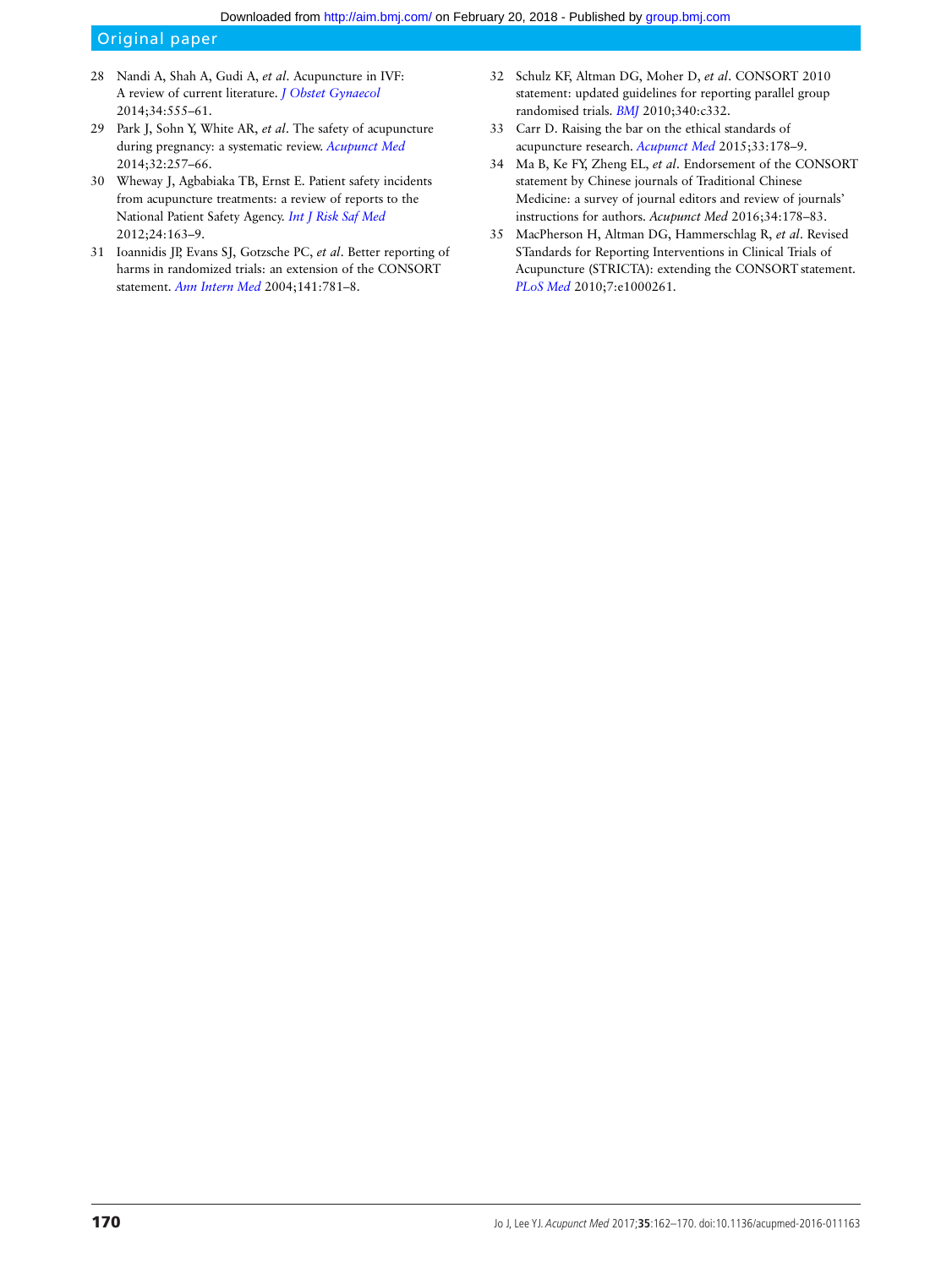- <span id="page-8-0"></span>28 Nandi A, Shah A, Gudi A, et al. Acupuncture in IVF: A review of current literature. [J Obstet Gynaecol](http://dx.doi.org/10.3109/01443615.2014.919997) 2014;34:555–61.
- 29 Park J, Sohn Y, White AR, et al. The safety of acupuncture during pregnancy: a systematic review. [Acupunct Med](http://dx.doi.org/10.1136/acupmed-2013-010480) 2014;32:257–66.
- 30 Wheway J, Agbabiaka TB, Ernst E. Patient safety incidents from acupuncture treatments: a review of reports to the National Patient Safety Agency. [Int J Risk Saf Med](http://dx.doi.org/10.3233/JRS-2012-0569) 2012;24:163–9.
- 31 Ioannidis JP, Evans SJ, Gotzsche PC, et al. Better reporting of harms in randomized trials: an extension of the CONSORT statement. [Ann Intern Med](http://dx.doi.org/10.7326/0003-4819-141-10-200411160-00009) 2004;141:781–8.
- 32 Schulz KF, Altman DG, Moher D, et al. CONSORT 2010 statement: updated guidelines for reporting parallel group randomised trials. [BMJ](http://dx.doi.org/10.1136/bmj.c332) 2010;340:c332.
- 33 Carr D. Raising the bar on the ethical standards of acupuncture research. [Acupunct Med](http://dx.doi.org/10.1136/acupmed-2015-010862) 2015;33:178–9.
- 34 Ma B, Ke FY, Zheng EL, et al. Endorsement of the CONSORT statement by Chinese journals of Traditional Chinese Medicine: a survey of journal editors and review of journals' instructions for authors. Acupunct Med 2016;34:178–83.
- 35 MacPherson H, Altman DG, Hammerschlag R, et al. Revised STandards for Reporting Interventions in Clinical Trials of Acupuncture (STRICTA): extending the CONSORT statement. [PLoS Med](http://dx.doi.org/10.1371/journal.pmed.1000261) 2010;7:e1000261.